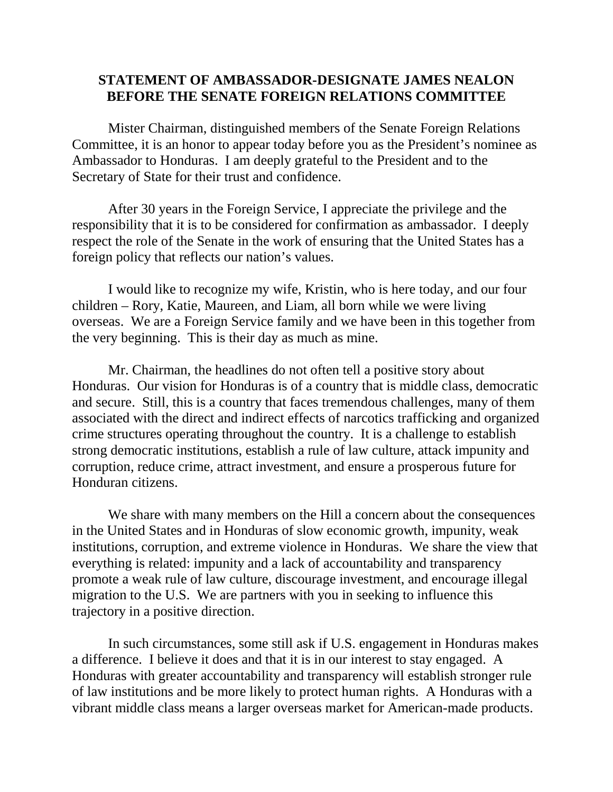## **STATEMENT OF AMBASSADOR-DESIGNATE JAMES NEALON BEFORE THE SENATE FOREIGN RELATIONS COMMITTEE**

Mister Chairman, distinguished members of the Senate Foreign Relations Committee, it is an honor to appear today before you as the President's nominee as Ambassador to Honduras. I am deeply grateful to the President and to the Secretary of State for their trust and confidence.

After 30 years in the Foreign Service, I appreciate the privilege and the responsibility that it is to be considered for confirmation as ambassador. I deeply respect the role of the Senate in the work of ensuring that the United States has a foreign policy that reflects our nation's values.

I would like to recognize my wife, Kristin, who is here today, and our four children – Rory, Katie, Maureen, and Liam, all born while we were living overseas. We are a Foreign Service family and we have been in this together from the very beginning. This is their day as much as mine.

Mr. Chairman, the headlines do not often tell a positive story about Honduras. Our vision for Honduras is of a country that is middle class, democratic and secure. Still, this is a country that faces tremendous challenges, many of them associated with the direct and indirect effects of narcotics trafficking and organized crime structures operating throughout the country. It is a challenge to establish strong democratic institutions, establish a rule of law culture, attack impunity and corruption, reduce crime, attract investment, and ensure a prosperous future for Honduran citizens.

We share with many members on the Hill a concern about the consequences in the United States and in Honduras of slow economic growth, impunity, weak institutions, corruption, and extreme violence in Honduras. We share the view that everything is related: impunity and a lack of accountability and transparency promote a weak rule of law culture, discourage investment, and encourage illegal migration to the U.S. We are partners with you in seeking to influence this trajectory in a positive direction.

In such circumstances, some still ask if U.S. engagement in Honduras makes a difference. I believe it does and that it is in our interest to stay engaged. A Honduras with greater accountability and transparency will establish stronger rule of law institutions and be more likely to protect human rights. A Honduras with a vibrant middle class means a larger overseas market for American-made products.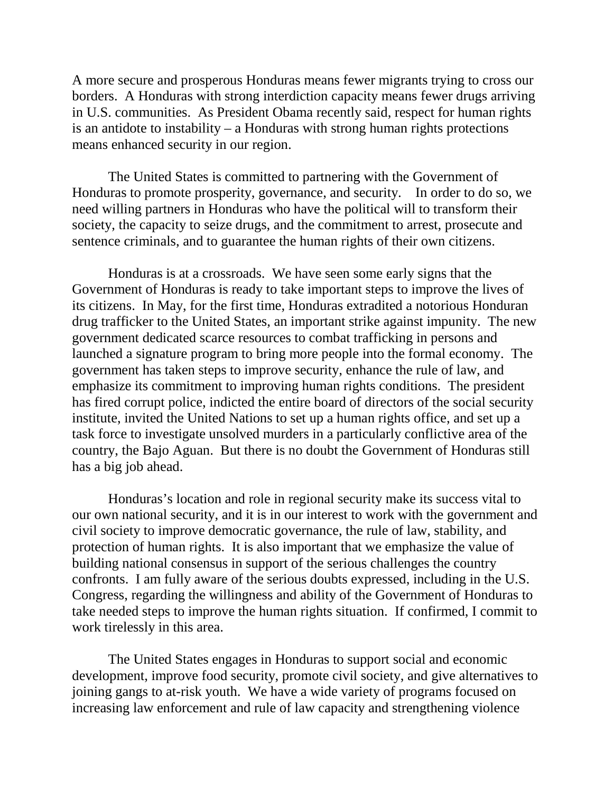A more secure and prosperous Honduras means fewer migrants trying to cross our borders. A Honduras with strong interdiction capacity means fewer drugs arriving in U.S. communities. As President Obama recently said, respect for human rights is an antidote to instability – a Honduras with strong human rights protections means enhanced security in our region.

The United States is committed to partnering with the Government of Honduras to promote prosperity, governance, and security. In order to do so, we need willing partners in Honduras who have the political will to transform their society, the capacity to seize drugs, and the commitment to arrest, prosecute and sentence criminals, and to guarantee the human rights of their own citizens.

Honduras is at a crossroads. We have seen some early signs that the Government of Honduras is ready to take important steps to improve the lives of its citizens. In May, for the first time, Honduras extradited a notorious Honduran drug trafficker to the United States, an important strike against impunity. The new government dedicated scarce resources to combat trafficking in persons and launched a signature program to bring more people into the formal economy. The government has taken steps to improve security, enhance the rule of law, and emphasize its commitment to improving human rights conditions. The president has fired corrupt police, indicted the entire board of directors of the social security institute, invited the United Nations to set up a human rights office, and set up a task force to investigate unsolved murders in a particularly conflictive area of the country, the Bajo Aguan. But there is no doubt the Government of Honduras still has a big job ahead.

Honduras's location and role in regional security make its success vital to our own national security, and it is in our interest to work with the government and civil society to improve democratic governance, the rule of law, stability, and protection of human rights. It is also important that we emphasize the value of building national consensus in support of the serious challenges the country confronts. I am fully aware of the serious doubts expressed, including in the U.S. Congress, regarding the willingness and ability of the Government of Honduras to take needed steps to improve the human rights situation. If confirmed, I commit to work tirelessly in this area.

The United States engages in Honduras to support social and economic development, improve food security, promote civil society, and give alternatives to joining gangs to at-risk youth. We have a wide variety of programs focused on increasing law enforcement and rule of law capacity and strengthening violence